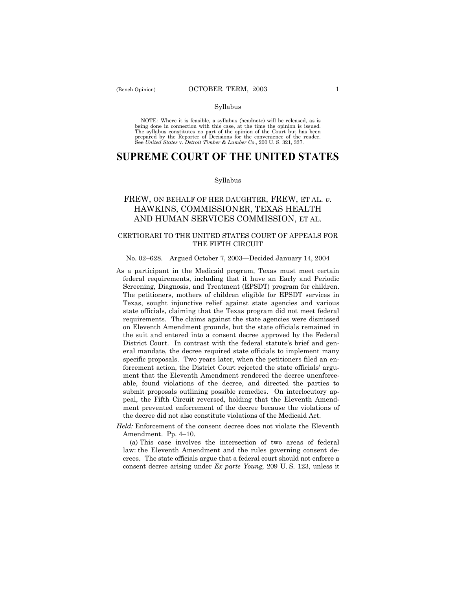### Syllabus

NOTE: Where it is feasible, a syllabus (headnote) will be released, as is being done in connection with this case, at the time the opinion is issued. The syllabus constitutes no part of the opinion of the Court but has been<br>prepared by the Reporter of Decisions for the convenience of the reader.<br>See United States v. Detroit Timber & Lumber Co., 200 U. S. 321, 337.

# **SUPREME COURT OF THE UNITED STATES**

### Syllabus

## FREW, ON BEHALF OF HER DAUGHTER, FREW, ET AL. *v.* HAWKINS, COMMISSIONER, TEXAS HEALTH AND HUMAN SERVICES COMMISSION, ET AL.

### CERTIORARI TO THE UNITED STATES COURT OF APPEALS FOR THE FIFTH CIRCUIT

### No. 02-628. Argued October 7, 2003-Decided January 14, 2004

- As a participant in the Medicaid program, Texas must meet certain federal requirements, including that it have an Early and Periodic Screening, Diagnosis, and Treatment (EPSDT) program for children. The petitioners, mothers of children eligible for EPSDT services in Texas, sought injunctive relief against state agencies and various state officials, claiming that the Texas program did not meet federal requirements. The claims against the state agencies were dismissed on Eleventh Amendment grounds, but the state officials remained in the suit and entered into a consent decree approved by the Federal District Court. In contrast with the federal statute's brief and general mandate, the decree required state officials to implement many specific proposals. Two years later, when the petitioners filed an enforcement action, the District Court rejected the state officials' argument that the Eleventh Amendment rendered the decree unenforceable, found violations of the decree, and directed the parties to submit proposals outlining possible remedies. On interlocutory appeal, the Fifth Circuit reversed, holding that the Eleventh Amendment prevented enforcement of the decree because the violations of the decree did not also constitute violations of the Medicaid Act.
- *Held:* Enforcement of the consent decree does not violate the Eleventh Amendment. Pp. 4-10.

(a) This case involves the intersection of two areas of federal law: the Eleventh Amendment and the rules governing consent decrees. The state officials argue that a federal court should not enforce a consent decree arising under *Ex parte Young,* 209 U. S. 123, unless it